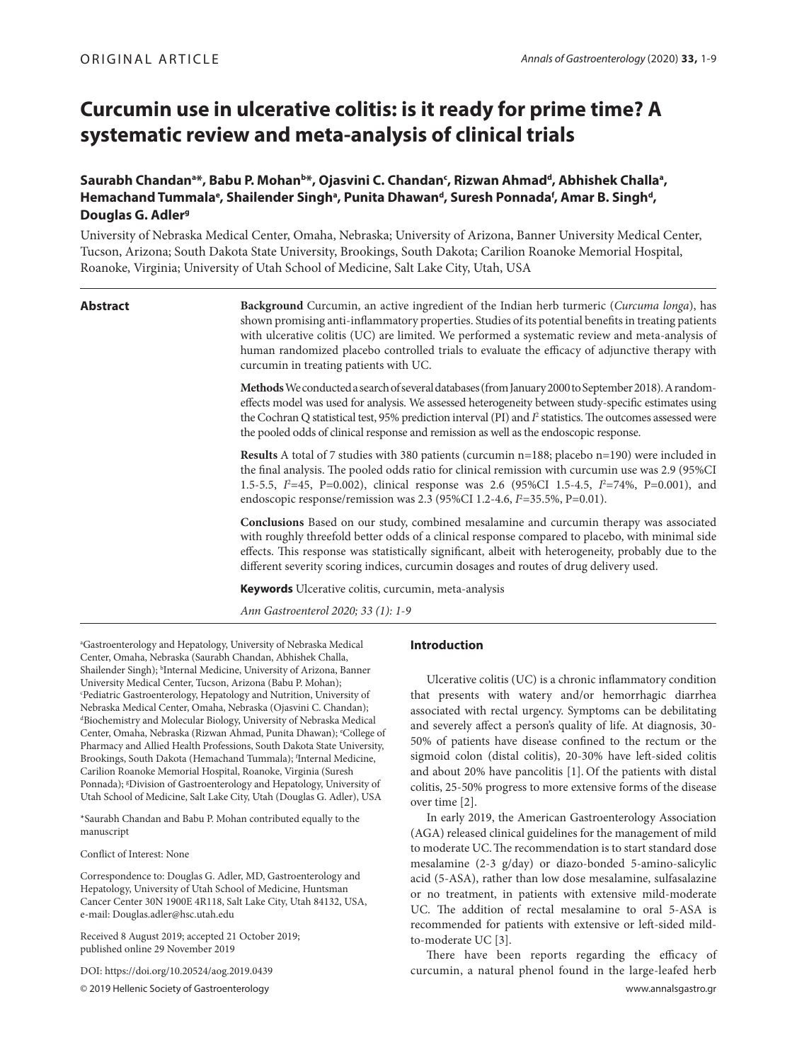# **Curcumin use in ulcerative colitis: is it ready for prime time? A systematic review and meta-analysis of clinical trials**

# Saurabh Chandan<sup>a</sup>\*, Babu P. Mohan<sup>b</sup>\*, Ojasvini C. Chandan<sup>c</sup>, Rizwan Ahmad<sup>d</sup>, Abhishek Challa<sup>a</sup>, Hemachand Tummala<sup>e</sup>, Shailender Singh<sup>a</sup>, Punita Dhawan<sup>d</sup>, Suresh Ponnada<sup>f</sup>, Amar B. Singh<sup>d</sup>, **Douglas G. Adler<sup>9</sup>**

University of Nebraska Medical Center, Omaha, Nebraska; University of Arizona, Banner University Medical Center, Tucson, Arizona; South Dakota State University, Brookings, South Dakota; Carilion Roanoke Memorial Hospital, Roanoke, Virginia; University of Utah School of Medicine, Salt Lake City, Utah, USA

| ۱<br>ï<br>. .<br><b>Service Service</b> | S<br>лг |  |
|-----------------------------------------|---------|--|
|-----------------------------------------|---------|--|

**Abstract Background** Curcumin, an active ingredient of the Indian herb turmeric (*Curcuma longa*), has shown promising anti-inflammatory properties. Studies of its potential benefits in treating patients with ulcerative colitis (UC) are limited. We performed a systematic review and meta-analysis of human randomized placebo controlled trials to evaluate the efficacy of adjunctive therapy with curcumin in treating patients with UC.

**Methods** We conducted a search of several databases (from January 2000 to September 2018). A randomeffects model was used for analysis. We assessed heterogeneity between study-specific estimates using the Cochran Q statistical test, 95% prediction interval (PI) and  $I^2$  statistics. The outcomes assessed were the pooled odds of clinical response and remission as well as the endoscopic response.

**Results** A total of 7 studies with 380 patients (curcumin n=188; placebo n=190) were included in the final analysis. The pooled odds ratio for clinical remission with curcumin use was 2.9 (95%CI 1.5-5.5, *I*<sup>2</sup>=45, P=0.002), clinical response was 2.6 (95%CI 1.5-4.5, *I*<sup>2</sup>=74%, P=0.001), and endoscopic response/remission was 2.3 (95%CI 1.2-4.6,  $I^2$ =35.5%, P=0.01).

**Conclusions** Based on our study, combined mesalamine and curcumin therapy was associated with roughly threefold better odds of a clinical response compared to placebo, with minimal side effects. This response was statistically significant, albeit with heterogeneity, probably due to the different severity scoring indices, curcumin dosages and routes of drug delivery used.

**Keywords** Ulcerative colitis, curcumin, meta-analysis

*Ann Gastroenterol 2020; 33 (1): 1-9*

a Gastroenterology and Hepatology, University of Nebraska Medical Center, Omaha, Nebraska (Saurabh Chandan, Abhishek Challa, Shailender Singh); <sup>b</sup>Internal Medicine, University of Arizona, Banner University Medical Center, Tucson, Arizona (Babu P. Mohan); c Pediatric Gastroenterology, Hepatology and Nutrition, University of Nebraska Medical Center, Omaha, Nebraska (Ojasvini C. Chandan); d Biochemistry and Molecular Biology, University of Nebraska Medical Center, Omaha, Nebraska (Rizwan Ahmad, Punita Dhawan); <sup>e</sup>College of Pharmacy and Allied Health Professions, South Dakota State University, Brookings, South Dakota (Hemachand Tummala); f Internal Medicine, Carilion Roanoke Memorial Hospital, Roanoke, Virginia (Suresh Ponnada); <sup>8</sup>Division of Gastroenterology and Hepatology, University of Utah School of Medicine, Salt Lake City, Utah (Douglas G. Adler), USA

\*Saurabh Chandan and Babu P. Mohan contributed equally to the manuscript

Conflict of Interest: None

Correspondence to: Douglas G. Adler, MD, Gastroenterology and Hepatology, University of Utah School of Medicine, Huntsman Cancer Center 30N 1900E 4R118, Salt Lake City, Utah 84132, USA, e-mail: Douglas.adler@hsc.utah.edu

Received 8 August 2019; accepted 21 October 2019; published online 29 November 2019

DOI: https://doi.org/10.20524/aog.2019.0439

# **Introduction**

Ulcerative colitis (UC) is a chronic inflammatory condition that presents with watery and/or hemorrhagic diarrhea associated with rectal urgency. Symptoms can be debilitating and severely affect a person's quality of life. At diagnosis, 30- 50% of patients have disease confined to the rectum or the sigmoid colon (distal colitis), 20-30% have left-sided colitis and about 20% have pancolitis [1]. Of the patients with distal colitis, 25-50% progress to more extensive forms of the disease over time [2].

In early 2019, the American Gastroenterology Association (AGA) released clinical guidelines for the management of mild to moderate UC.The recommendation is to start standard dose mesalamine (2-3 g/day) or diazo-bonded 5-amino-salicylic acid (5-ASA), rather than low dose mesalamine, sulfasalazine or no treatment, in patients with extensive mild-moderate UC. The addition of rectal mesalamine to oral 5-ASA is recommended for patients with extensive or left-sided mildto-moderate UC [3].

© 2019 Hellenic Society of Gastroenterology www.annalsgastro.gr There have been reports regarding the efficacy of curcumin, a natural phenol found in the large‐leafed herb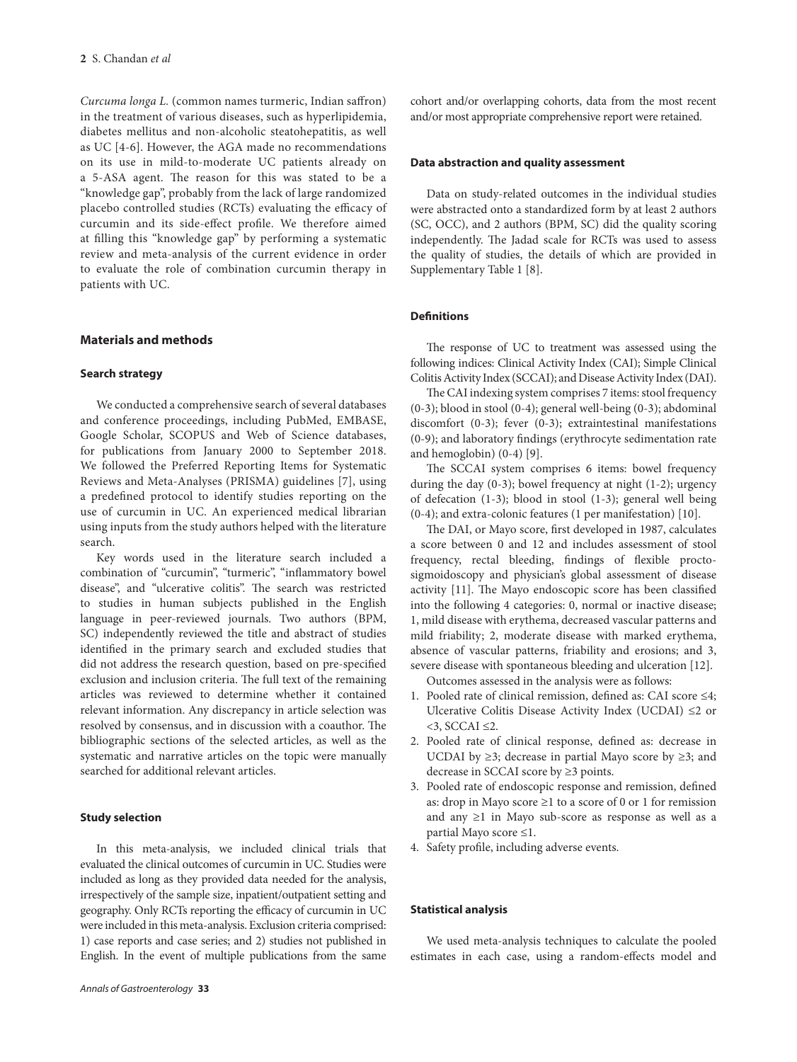*Curcuma longa L.* (common names turmeric, Indian saffron) in the treatment of various diseases, such as hyperlipidemia, diabetes mellitus and non-alcoholic steatohepatitis, as well as UC [4-6]. However, the AGA made no recommendations on its use in mild-to-moderate UC patients already on a 5-ASA agent. The reason for this was stated to be a "knowledge gap", probably from the lack of large randomized placebo controlled studies (RCTs) evaluating the efficacy of curcumin and its side-effect profile. We therefore aimed at filling this "knowledge gap" by performing a systematic review and meta-analysis of the current evidence in order to evaluate the role of combination curcumin therapy in patients with UC.

# **Materials and methods**

# **Search strategy**

We conducted a comprehensive search of several databases and conference proceedings, including PubMed, EMBASE, Google Scholar, SCOPUS and Web of Science databases, for publications from January 2000 to September 2018. We followed the Preferred Reporting Items for Systematic Reviews and Meta-Analyses (PRISMA) guidelines [7], using a predefined protocol to identify studies reporting on the use of curcumin in UC. An experienced medical librarian using inputs from the study authors helped with the literature search.

Key words used in the literature search included a combination of "curcumin", "turmeric", "inflammatory bowel disease", and "ulcerative colitis". The search was restricted to studies in human subjects published in the English language in peer-reviewed journals. Two authors (BPM, SC) independently reviewed the title and abstract of studies identified in the primary search and excluded studies that did not address the research question, based on pre-specified exclusion and inclusion criteria. The full text of the remaining articles was reviewed to determine whether it contained relevant information. Any discrepancy in article selection was resolved by consensus, and in discussion with a coauthor. The bibliographic sections of the selected articles, as well as the systematic and narrative articles on the topic were manually searched for additional relevant articles.

#### **Study selection**

In this meta-analysis, we included clinical trials that evaluated the clinical outcomes of curcumin in UC. Studies were included as long as they provided data needed for the analysis, irrespectively of the sample size, inpatient/outpatient setting and geography. Only RCTs reporting the efficacy of curcumin in UC were included in this meta-analysis. Exclusion criteria comprised: 1) case reports and case series; and 2) studies not published in English. In the event of multiple publications from the same

cohort and/or overlapping cohorts, data from the most recent and/or most appropriate comprehensive report were retained.

# **Data abstraction and quality assessment**

Data on study-related outcomes in the individual studies were abstracted onto a standardized form by at least 2 authors (SC, OCC), and 2 authors (BPM, SC) did the quality scoring independently. The Jadad scale for RCTs was used to assess the quality of studies, the details of which are provided in Supplementary Table 1 [8].

# **Definitions**

The response of UC to treatment was assessed using the following indices: Clinical Activity Index (CAI); Simple Clinical Colitis Activity Index (SCCAI); and Disease Activity Index (DAI).

The CAI indexing system comprises 7 items: stool frequency (0-3); blood in stool (0-4); general well-being (0-3); abdominal discomfort (0-3); fever (0-3); extraintestinal manifestations (0-9); and laboratory findings (erythrocyte sedimentation rate and hemoglobin) (0-4) [9].

The SCCAI system comprises 6 items: bowel frequency during the day (0-3); bowel frequency at night (1-2); urgency of defecation (1-3); blood in stool (1-3); general well being (0-4); and extra-colonic features (1 per manifestation) [10].

The DAI, or Mayo score, first developed in 1987, calculates a score between 0 and 12 and includes assessment of stool frequency, rectal bleeding, findings of flexible proctosigmoidoscopy and physician's global assessment of disease activity [11]. The Mayo endoscopic score has been classified into the following 4 categories: 0, normal or inactive disease; 1, mild disease with erythema, decreased vascular patterns and mild friability; 2, moderate disease with marked erythema, absence of vascular patterns, friability and erosions; and 3, severe disease with spontaneous bleeding and ulceration [12].

Outcomes assessed in the analysis were as follows:

- 1. Pooled rate of clinical remission, defined as: CAI score ≤4; Ulcerative Colitis Disease Activity Index (UCDAI) ≤2 or  $<$ 3, SCCAI  $\leq$ 2.
- 2. Pooled rate of clinical response, defined as: decrease in UCDAI by  $\geq$ 3; decrease in partial Mayo score by  $\geq$ 3; and decrease in SCCAI score by ≥3 points.
- 3. Pooled rate of endoscopic response and remission, defined as: drop in Mayo score ≥1 to a score of 0 or 1 for remission and any ≥1 in Mayo sub-score as response as well as a partial Mayo score ≤1.
- 4. Safety profile, including adverse events.

#### **Statistical analysis**

We used meta-analysis techniques to calculate the pooled estimates in each case, using a random-effects model and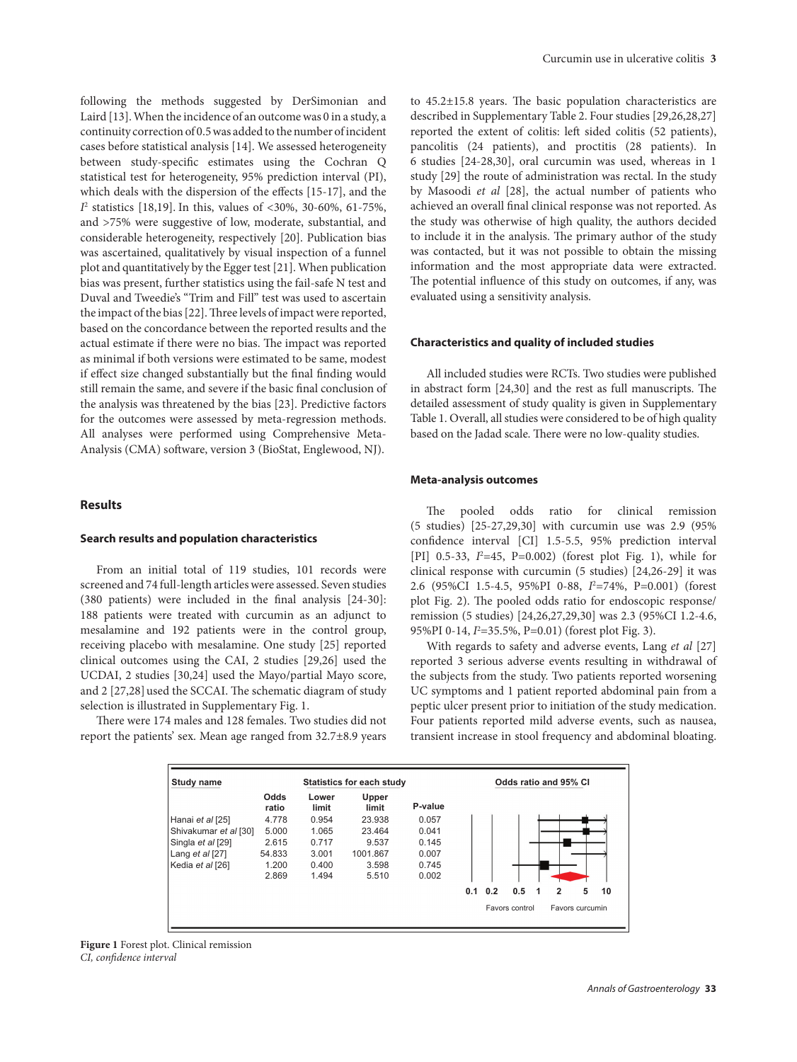following the methods suggested by DerSimonian and Laird [13]. When the incidence of an outcome was 0 in a study, a continuity correction of 0.5 was added to the number of incident cases before statistical analysis [14]. We assessed heterogeneity between study-specific estimates using the Cochran Q statistical test for heterogeneity, 95% prediction interval (PI), which deals with the dispersion of the effects [15-17], and the *I*2 statistics [18,19]. In this, values of <30%, 30-60%, 61-75%, and >75% were suggestive of low, moderate, substantial, and considerable heterogeneity, respectively [20]. Publication bias was ascertained, qualitatively by visual inspection of a funnel plot and quantitatively by the Egger test [21]. When publication bias was present, further statistics using the fail-safe N test and Duval and Tweedie's "Trim and Fill" test was used to ascertain the impact of the bias [22]. Three levels of impact were reported, based on the concordance between the reported results and the actual estimate if there were no bias. The impact was reported as minimal if both versions were estimated to be same, modest if effect size changed substantially but the final finding would still remain the same, and severe if the basic final conclusion of the analysis was threatened by the bias [23]. Predictive factors for the outcomes were assessed by meta-regression methods. All analyses were performed using Comprehensive Meta-Analysis (CMA) software, version 3 (BioStat, Englewood, NJ).

# **Results**

# **Search results and population characteristics**

From an initial total of 119 studies, 101 records were screened and 74 full-length articles were assessed. Seven studies (380 patients) were included in the final analysis [24-30]: 188 patients were treated with curcumin as an adjunct to mesalamine and 192 patients were in the control group, receiving placebo with mesalamine. One study [25] reported clinical outcomes using the CAI, 2 studies [29,26] used the UCDAI, 2 studies [30,24] used the Mayo/partial Mayo score, and 2 [27,28] used the SCCAI. The schematic diagram of study selection is illustrated in Supplementary Fig. 1.

There were 174 males and 128 females. Two studies did not report the patients' sex. Mean age ranged from 32.7±8.9 years

to 45.2±15.8 years. The basic population characteristics are described in Supplementary Table 2. Four studies [29,26,28,27] reported the extent of colitis: left sided colitis (52 patients), pancolitis (24 patients), and proctitis (28 patients). In 6 studies [24-28,30], oral curcumin was used, whereas in 1 study [29] the route of administration was rectal. In the study by Masoodi *et al* [28], the actual number of patients who achieved an overall final clinical response was not reported. As the study was otherwise of high quality, the authors decided to include it in the analysis. The primary author of the study was contacted, but it was not possible to obtain the missing information and the most appropriate data were extracted. The potential influence of this study on outcomes, if any, was evaluated using a sensitivity analysis.

#### **Characteristics and quality of included studies**

All included studies were RCTs. Two studies were published in abstract form [24,30] and the rest as full manuscripts. The detailed assessment of study quality is given in Supplementary Table 1. Overall, all studies were considered to be of high quality based on the Jadad scale. There were no low-quality studies.

#### **Meta-analysis outcomes**

The pooled odds ratio for clinical remission (5 studies) [25-27,29,30] with curcumin use was 2.9 (95% confidence interval [CI] 1.5-5.5, 95% prediction interval [PI] 0.5-33, *I*<sup>2</sup>=45, P=0.002) (forest plot Fig. 1), while for clinical response with curcumin (5 studies) [24,26-29] it was 2.6 (95%CI 1.5-4.5, 95%PI 0-88, *I*<sup>2</sup>=74%, P=0.001) (forest plot Fig. 2). The pooled odds ratio for endoscopic response/ remission (5 studies) [24,26,27,29,30] was 2.3 (95%CI 1.2-4.6, 95%PI 0-14, *I*<sup>2</sup> =35.5%, P=0.01) (forest plot Fig. 3).

With regards to safety and adverse events, Lang *et al* [27] reported 3 serious adverse events resulting in withdrawal of the subjects from the study. Two patients reported worsening UC symptoms and 1 patient reported abdominal pain from a peptic ulcer present prior to initiation of the study medication. Four patients reported mild adverse events, such as nausea, transient increase in stool frequency and abdominal bloating.



**Figure 1** Forest plot. Clinical remission *CI, confidence interval*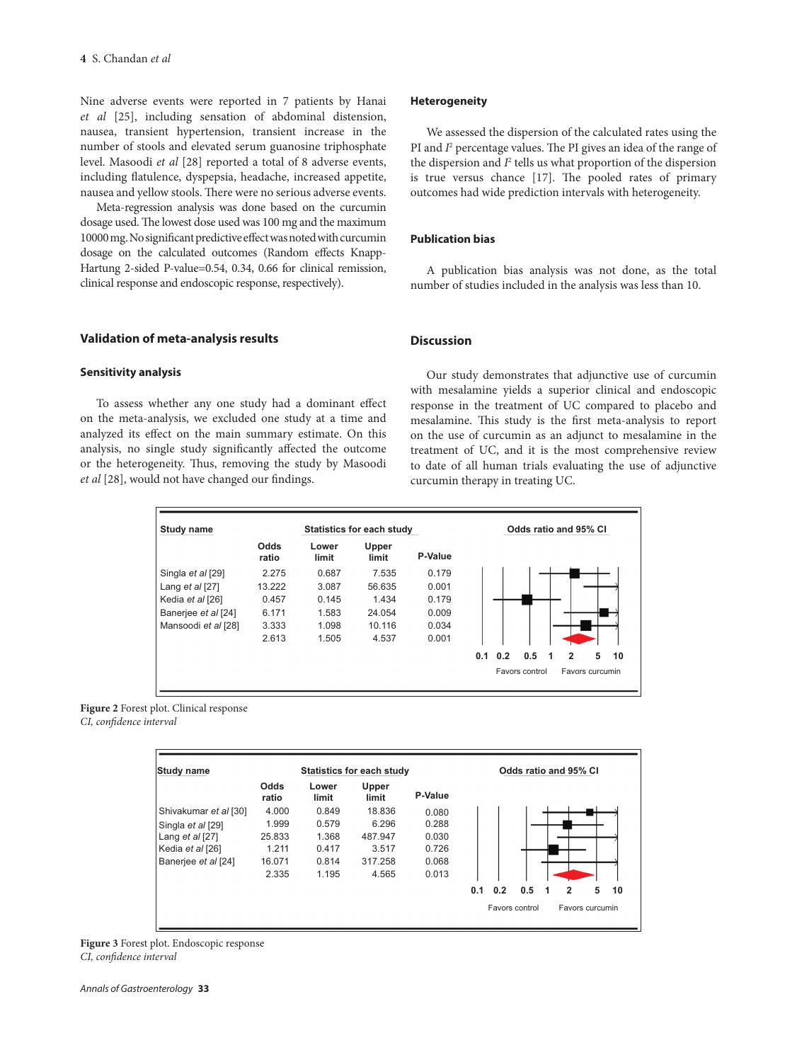Nine adverse events were reported in 7 patients by Hanai *et al* [25], including sensation of abdominal distension, nausea, transient hypertension, transient increase in the number of stools and elevated serum guanosine triphosphate level. Masoodi *et al* [28] reported a total of 8 adverse events, including flatulence, dyspepsia, headache, increased appetite, nausea and yellow stools. There were no serious adverse events.

Meta-regression analysis was done based on the curcumin dosage used. The lowest dose used was 100 mg and the maximum 10000 mg. No significant predictive effect was noted with curcumin dosage on the calculated outcomes (Random effects Knapp-Hartung 2-sided P-value=0.54, 0.34, 0.66 for clinical remission, clinical response and endoscopic response, respectively).

#### **Validation of meta-analysis results**

# **Sensitivity analysis**

To assess whether any one study had a dominant effect on the meta-analysis, we excluded one study at a time and analyzed its effect on the main summary estimate. On this analysis, no single study significantly affected the outcome or the heterogeneity. Thus, removing the study by Masoodi *et al* [28], would not have changed our findings.

#### **Heterogeneity**

We assessed the dispersion of the calculated rates using the PI and *I*<sup>2</sup> percentage values. The PI gives an idea of the range of the dispersion and *I*<sup>2</sup> tells us what proportion of the dispersion is true versus chance [17]. The pooled rates of primary outcomes had wide prediction intervals with heterogeneity.

# **Publication bias**

A publication bias analysis was not done, as the total number of studies included in the analysis was less than 10.

# **Discussion**

Our study demonstrates that adjunctive use of curcumin with mesalamine yields a superior clinical and endoscopic response in the treatment of UC compared to placebo and mesalamine. This study is the first meta-analysis to report on the use of curcumin as an adjunct to mesalamine in the treatment of UC, and it is the most comprehensive review to date of all human trials evaluating the use of adjunctive curcumin therapy in treating UC.

| <b>Study name</b>   |               |                | Statistics for each study |         | Odds ratio and 95% CI                               |
|---------------------|---------------|----------------|---------------------------|---------|-----------------------------------------------------|
|                     | Odds<br>ratio | Lower<br>limit | Upper<br>limit            | P-Value |                                                     |
| Singla et al [29]   | 2.275         | 0.687          | 7.535                     | 0.179   |                                                     |
| Lang et al [27]     | 13.222        | 3.087          | 56.635                    | 0.001   |                                                     |
| Kedia et al [26]    | 0.457         | 0.145          | 1.434                     | 0.179   |                                                     |
| Banerjee et al [24] | 6.171         | 1.583          | 24.054                    | 0.009   |                                                     |
| Mansoodi et al [28] | 3.333         | 1.098          | 10.116                    | 0.034   |                                                     |
|                     | 2.613         | 1.505          | 4.537                     | 0.001   |                                                     |
|                     |               |                |                           |         | 0.2<br>0.5<br>$\overline{2}$<br>5<br>10<br>0.1<br>1 |
|                     |               |                |                           |         | Favors control<br>Favors curcumin                   |



| <b>Study name</b>     |               |                | <b>Statistics for each study</b> |         | Odds ratio and 95% CI                  |
|-----------------------|---------------|----------------|----------------------------------|---------|----------------------------------------|
|                       | Odds<br>ratio | Lower<br>limit | Upper<br>limit                   | P-Value |                                        |
| Shivakumar et al [30] | 4.000         | 0.849          | 18.836                           | 0.080   |                                        |
| Singla et al [29]     | 1.999         | 0.579          | 6.296                            | 0.288   |                                        |
| Lang et al [27]       | 25.833        | 1.368          | 487.947                          | 0.030   |                                        |
| Kedia et al [26]      | 1.211         | 0.417          | 3.517                            | 0.726   |                                        |
| Banerjee et al [24]   | 16.071        | 0.814          | 317.258                          | 0.068   |                                        |
|                       | 2.335         | 1.195          | 4.565                            | 0.013   |                                        |
|                       |               |                |                                  |         | 0.5<br>0.1<br>0.2<br>5<br>2<br>10<br>1 |
|                       |               |                |                                  |         | Favors curcumin<br>Favors control      |

**Figure 3** Forest plot. Endoscopic response *CI, confidence interval*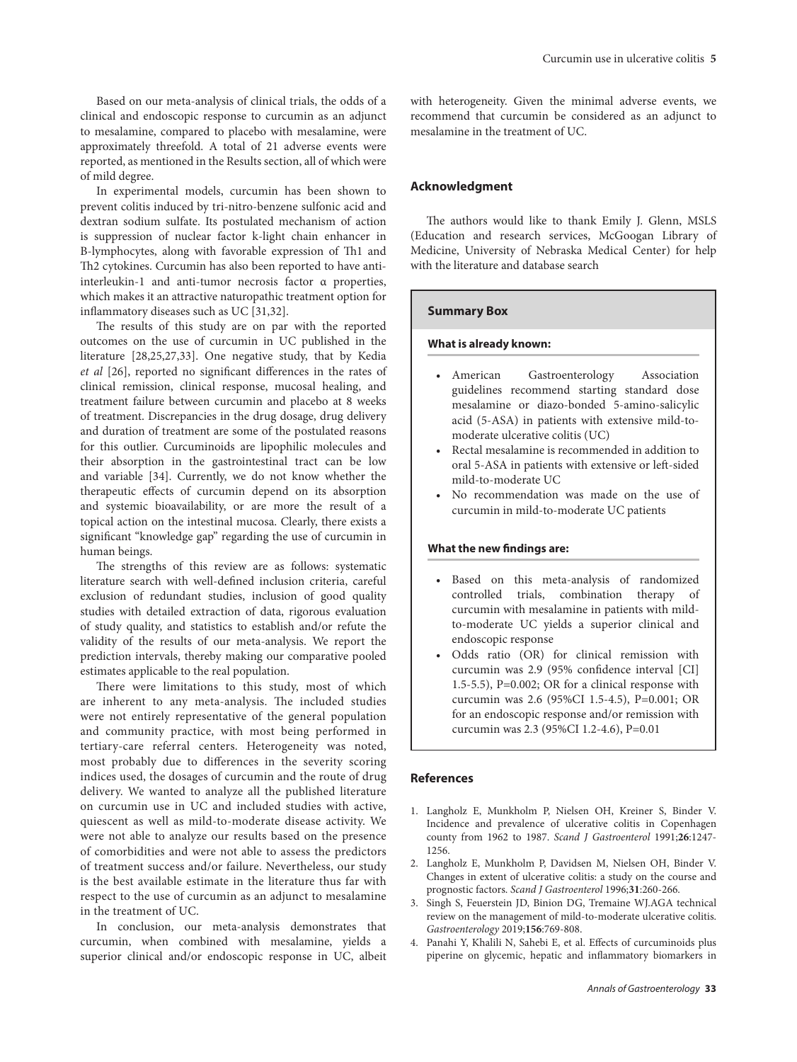Based on our meta-analysis of clinical trials, the odds of a clinical and endoscopic response to curcumin as an adjunct to mesalamine, compared to placebo with mesalamine, were approximately threefold. A total of 21 adverse events were reported, as mentioned in the Results section, all of which were of mild degree.

In experimental models, curcumin has been shown to prevent colitis induced by tri-nitro-benzene sulfonic acid and dextran sodium sulfate. Its postulated mechanism of action is suppression of nuclear factor k-light chain enhancer in B-lymphocytes, along with favorable expression of Th1 and Th2 cytokines. Curcumin has also been reported to have antiinterleukin-1 and anti-tumor necrosis factor α properties, which makes it an attractive naturopathic treatment option for inflammatory diseases such as UC [31,32].

The results of this study are on par with the reported outcomes on the use of curcumin in UC published in the literature [28,25,27,33]. One negative study, that by Kedia *et al* [26], reported no significant differences in the rates of clinical remission, clinical response, mucosal healing, and treatment failure between curcumin and placebo at 8 weeks of treatment. Discrepancies in the drug dosage, drug delivery and duration of treatment are some of the postulated reasons for this outlier. Curcuminoids are lipophilic molecules and their absorption in the gastrointestinal tract can be low and variable [34]. Currently, we do not know whether the therapeutic effects of curcumin depend on its absorption and systemic bioavailability, or are more the result of a topical action on the intestinal mucosa. Clearly, there exists a significant "knowledge gap" regarding the use of curcumin in human beings.

The strengths of this review are as follows: systematic literature search with well-defined inclusion criteria, careful exclusion of redundant studies, inclusion of good quality studies with detailed extraction of data, rigorous evaluation of study quality, and statistics to establish and/or refute the validity of the results of our meta-analysis. We report the prediction intervals, thereby making our comparative pooled estimates applicable to the real population.

There were limitations to this study, most of which are inherent to any meta-analysis. The included studies were not entirely representative of the general population and community practice, with most being performed in tertiary-care referral centers. Heterogeneity was noted, most probably due to differences in the severity scoring indices used, the dosages of curcumin and the route of drug delivery. We wanted to analyze all the published literature on curcumin use in UC and included studies with active, quiescent as well as mild-to-moderate disease activity. We were not able to analyze our results based on the presence of comorbidities and were not able to assess the predictors of treatment success and/or failure. Nevertheless, our study is the best available estimate in the literature thus far with respect to the use of curcumin as an adjunct to mesalamine in the treatment of UC.

In conclusion, our meta-analysis demonstrates that curcumin, when combined with mesalamine, yields a superior clinical and/or endoscopic response in UC, albeit with heterogeneity. Given the minimal adverse events, we recommend that curcumin be considered as an adjunct to mesalamine in the treatment of UC.

# **Acknowledgment**

The authors would like to thank Emily J. Glenn, MSLS (Education and research services, McGoogan Library of Medicine, University of Nebraska Medical Center) for help with the literature and database search

# **Summary Box**

# **What is already known:**

- • American Gastroenterology Association guidelines recommend starting standard dose mesalamine or diazo-bonded 5-amino-salicylic acid (5-ASA) in patients with extensive mild-tomoderate ulcerative colitis (UC)
- Rectal mesalamine is recommended in addition to oral 5-ASA in patients with extensive or left-sided mild-to-moderate UC
- No recommendation was made on the use of curcumin in mild-to-moderate UC patients

#### **What the new findings are:**

- Based on this meta-analysis of randomized controlled trials, combination therapy of curcumin with mesalamine in patients with mildto-moderate UC yields a superior clinical and endoscopic response
- • Odds ratio (OR) for clinical remission with curcumin was 2.9 (95% confidence interval [CI] 1.5-5.5), P=0.002; OR for a clinical response with curcumin was 2.6 (95%CI 1.5-4.5), P=0.001; OR for an endoscopic response and/or remission with curcumin was 2.3 (95%CI 1.2-4.6), P=0.01

# **References**

- 1. Langholz E, Munkholm P, Nielsen OH, Kreiner S, Binder V. Incidence and prevalence of ulcerative colitis in Copenhagen county from 1962 to 1987. *Scand J Gastroenterol* 1991;**26**:1247- 1256.
- 2. Langholz E, Munkholm P, Davidsen M, Nielsen OH, Binder V. Changes in extent of ulcerative colitis: a study on the course and prognostic factors. *Scand J Gastroenterol* 1996;**31**:260-266.
- 3. Singh S, Feuerstein JD, Binion DG, Tremaine WJ.AGA technical review on the management of mild-to-moderate ulcerative colitis. *Gastroenterology* 2019;**156**:769-808.
- 4. Panahi Y, Khalili N, Sahebi E, et al. Effects of curcuminoids plus piperine on glycemic, hepatic and inflammatory biomarkers in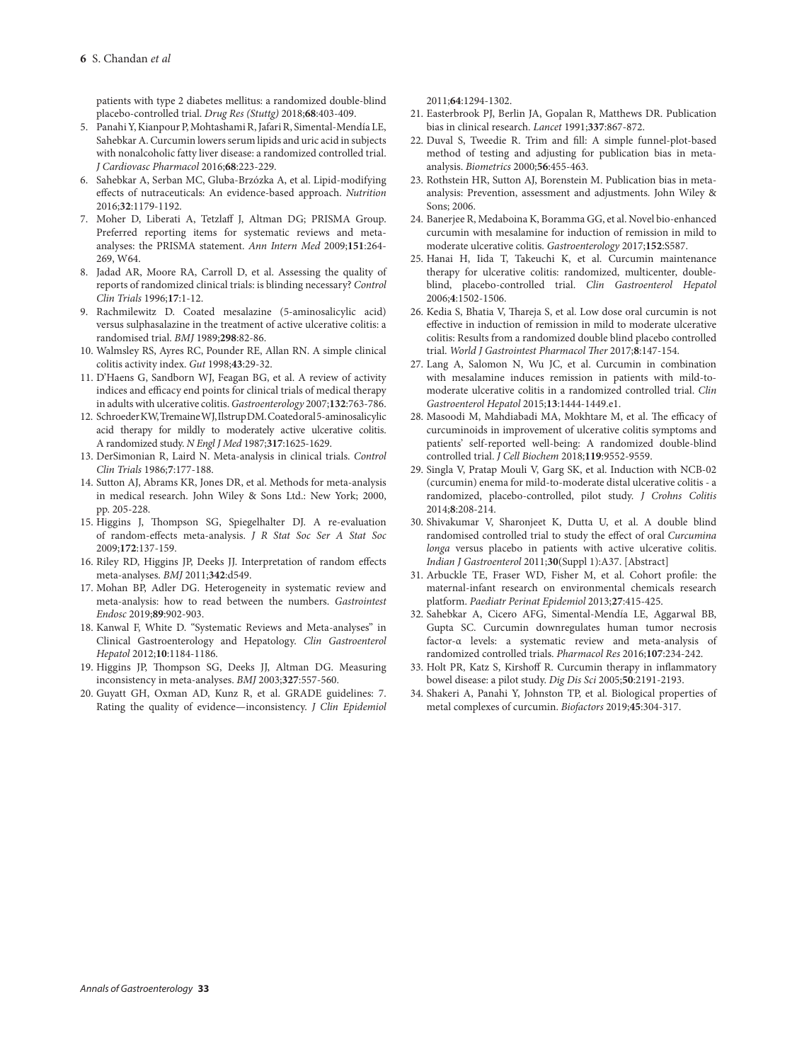patients with type 2 diabetes mellitus: a randomized double-blind placebo-controlled trial. *Drug Res (Stuttg)* 2018;**68**:403-409.

- 5. Panahi Y, Kianpour P, Mohtashami R, Jafari R, Simental-Mendía LE, Sahebkar A. Curcumin lowers serum lipids and uric acid in subjects with nonalcoholic fatty liver disease: a randomized controlled trial. *J Cardiovasc Pharmacol* 2016;**68**:223-229.
- 6. Sahebkar A, Serban MC, Gluba-Brzózka A, et al. Lipid-modifying effects of nutraceuticals: An evidence-based approach. *Nutrition* 2016;**32**:1179-1192.
- 7. Moher D, Liberati A, Tetzlaff J, Altman DG; PRISMA Group. Preferred reporting items for systematic reviews and metaanalyses: the PRISMA statement. *Ann Intern Med* 2009;**151**:264- 269, W64.
- 8. Jadad AR, Moore RA, Carroll D, et al. Assessing the quality of reports of randomized clinical trials: is blinding necessary? *Control Clin Trials* 1996;**17**:1-12.
- 9. Rachmilewitz D. Coated mesalazine (5-aminosalicylic acid) versus sulphasalazine in the treatment of active ulcerative colitis: a randomised trial. *BMJ* 1989;**298**:82-86.
- 10. Walmsley RS, Ayres RC, Pounder RE, Allan RN. A simple clinical colitis activity index. *Gut* 1998;**43**:29-32.
- 11. D'Haens G, Sandborn WJ, Feagan BG, et al. A review of activity indices and efficacy end points for clinical trials of medical therapy in adults with ulcerative colitis. *Gastroenterology* 2007;**132**:763-786.
- 12. Schroeder KW, Tremaine WJ, Ilstrup DM. Coated oral 5-aminosalicylic acid therapy for mildly to moderately active ulcerative colitis. A randomized study. *N Engl J Med* 1987;**317**:1625-1629.
- 13. DerSimonian R, Laird N. Meta-analysis in clinical trials. *Control Clin Trials* 1986;**7**:177-188.
- 14. Sutton AJ, Abrams KR, Jones DR, et al. Methods for meta-analysis in medical research. John Wiley & Sons Ltd.: New York; 2000, pp. 205-228.
- 15. Higgins J, Thompson SG, Spiegelhalter DJ. A re-evaluation of random-effects meta-analysis. *J R Stat Soc Ser A Stat Soc* 2009;**172**:137-159.
- 16. Riley RD, Higgins JP, Deeks JJ. Interpretation of random effects meta-analyses. *BMJ* 2011;**342**:d549.
- 17. Mohan BP, Adler DG. Heterogeneity in systematic review and meta-analysis: how to read between the numbers. *Gastrointest Endosc* 2019;**89**:902-903.
- 18. Kanwal F, White D. "Systematic Reviews and Meta-analyses" in Clinical Gastroenterology and Hepatology. *Clin Gastroenterol Hepatol* 2012;**10**:1184-1186.
- 19. Higgins JP, Thompson SG, Deeks JJ, Altman DG. Measuring inconsistency in meta-analyses. *BMJ* 2003;**327**:557-560.
- 20. Guyatt GH, Oxman AD, Kunz R, et al. GRADE guidelines: 7. Rating the quality of evidence—inconsistency. *J Clin Epidemiol*

2011;**64**:1294-1302.

- 21. Easterbrook PJ, Berlin JA, Gopalan R, Matthews DR. Publication bias in clinical research. *Lancet* 1991;**337**:867-872.
- 22. Duval S, Tweedie R. Trim and fill: A simple funnel-plot-based method of testing and adjusting for publication bias in metaanalysis. *Biometrics* 2000;**56**:455-463.
- 23. Rothstein HR, Sutton AJ, Borenstein M. Publication bias in metaanalysis: Prevention, assessment and adjustments. John Wiley & Sons; 2006.
- 24. Banerjee R, Medaboina K, Boramma GG, et al. Novel bio-enhanced curcumin with mesalamine for induction of remission in mild to moderate ulcerative colitis. *Gastroenterology* 2017;**152**:S587.
- 25. Hanai H, Iida T, Takeuchi K, et al. Curcumin maintenance therapy for ulcerative colitis: randomized, multicenter, doubleblind, placebo-controlled trial. *Clin Gastroenterol Hepatol* 2006;**4**:1502-1506.
- 26. Kedia S, Bhatia V, Thareja S, et al. Low dose oral curcumin is not effective in induction of remission in mild to moderate ulcerative colitis: Results from a randomized double blind placebo controlled trial. *World J Gastrointest Pharmacol Ther* 2017;**8**:147-154.
- 27. Lang A, Salomon N, Wu JC, et al. Curcumin in combination with mesalamine induces remission in patients with mild-tomoderate ulcerative colitis in a randomized controlled trial. *Clin Gastroenterol Hepatol* 2015;**13**:1444-1449.e1.
- 28. Masoodi M, Mahdiabadi MA, Mokhtare M, et al. The efficacy of curcuminoids in improvement of ulcerative colitis symptoms and patients' self-reported well-being: A randomized double-blind controlled trial. *J Cell Biochem* 2018;**119**:9552-9559.
- 29. Singla V, Pratap Mouli V, Garg SK, et al. Induction with NCB-02 (curcumin) enema for mild-to-moderate distal ulcerative colitis - a randomized, placebo-controlled, pilot study. *J Crohns Colitis* 2014;**8**:208-214.
- 30. Shivakumar V, Sharonjeet K, Dutta U, et al. A double blind randomised controlled trial to study the effect of oral *Curcumina longa* versus placebo in patients with active ulcerative colitis. *Indian J Gastroenterol* 2011;**30**(Suppl 1):A37. [Abstract]
- 31. Arbuckle TE, Fraser WD, Fisher M, et al. Cohort profile: the maternal-infant research on environmental chemicals research platform. *Paediatr Perinat Epidemiol* 2013;**27**:415-425.
- 32. Sahebkar A, Cicero AFG, Simental-Mendía LE, Aggarwal BB, Gupta SC. Curcumin downregulates human tumor necrosis factor-α levels: a systematic review and meta-analysis of randomized controlled trials. *Pharmacol Res* 2016;**107**:234-242.
- 33. Holt PR, Katz S, Kirshoff R. Curcumin therapy in inflammatory bowel disease: a pilot study. *Dig Dis Sci* 2005;**50**:2191-2193.
- 34. Shakeri A, Panahi Y, Johnston TP, et al. Biological properties of metal complexes of curcumin. *Biofactors* 2019;**45**:304-317.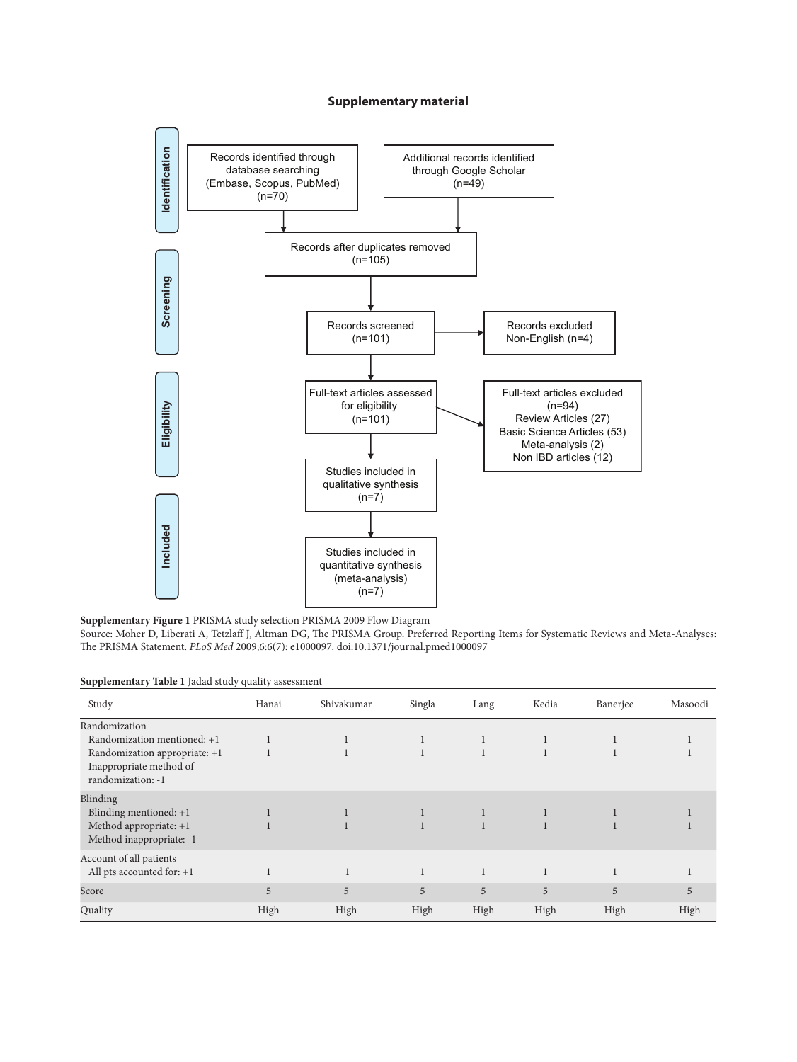# **Supplementary material**



**Supplementary Figure 1** PRISMA study selection PRISMA 2009 Flow Diagram

Source: Moher D, Liberati A, Tetzlaff J, Altman DG, The PRISMA Group. Preferred Reporting Items for Systematic Reviews and Meta-Analyses: The PRISMA Statement. *PLoS Med* 2009;6:6(7): e1000097. doi:10.1371/journal.pmed1000

**Supplementary Table 1** Jadad study quality assessment

| Study                                        | Hanai | Shivakumar | Singla | Lang         | Kedia | Banerjee | Masoodi |
|----------------------------------------------|-------|------------|--------|--------------|-------|----------|---------|
| Randomization                                |       |            |        |              |       |          |         |
| Randomization mentioned: +1                  |       |            |        |              |       |          |         |
| Randomization appropriate: +1                |       |            |        |              |       |          |         |
| Inappropriate method of<br>randomization: -1 |       |            |        |              |       |          |         |
| Blinding                                     |       |            |        |              |       |          |         |
| Blinding mentioned: $+1$                     |       |            |        |              |       |          |         |
| Method appropriate: $+1$                     |       |            |        |              |       |          |         |
| Method inappropriate: -1                     |       |            |        |              |       |          |         |
| Account of all patients                      |       |            |        |              |       |          |         |
| All pts accounted for: $+1$                  |       |            |        | $\mathbf{1}$ |       |          |         |
| Score                                        | 5     | 5          | 5      | 5            | 5     | 5        | 5       |
| Quality                                      | High  | High       | High   | High         | High  | High     | High    |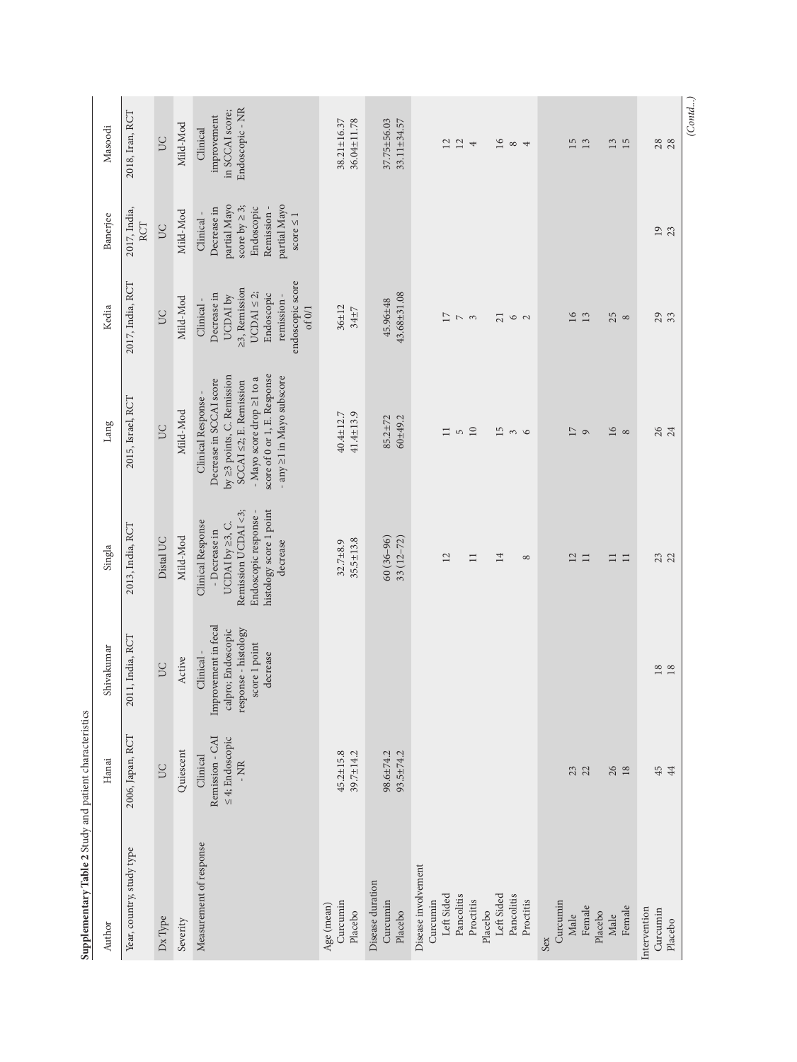| Supplementary Table 2 Study and patient characteristics                                                                      |                                                              |                                                                                                             |                                                                                                                                              |                                                                                                                                                                                                         |                                                                                                                                    |                                                                                                                               |                                                                  |
|------------------------------------------------------------------------------------------------------------------------------|--------------------------------------------------------------|-------------------------------------------------------------------------------------------------------------|----------------------------------------------------------------------------------------------------------------------------------------------|---------------------------------------------------------------------------------------------------------------------------------------------------------------------------------------------------------|------------------------------------------------------------------------------------------------------------------------------------|-------------------------------------------------------------------------------------------------------------------------------|------------------------------------------------------------------|
| Author                                                                                                                       | Hanai                                                        | Shivakumar                                                                                                  | Singla                                                                                                                                       | Lang                                                                                                                                                                                                    | Kedia                                                                                                                              | Banerjee                                                                                                                      | Masoodi                                                          |
| Year, country, study type                                                                                                    | 2006, Japan, RCT                                             | 11, India, RCT<br>201                                                                                       | 2013, India, RCT                                                                                                                             | 2015, Israel, RCT                                                                                                                                                                                       | 2017, India, RCT                                                                                                                   | 2017, India,<br><b>RCT</b>                                                                                                    | 2018, Iran, RCT                                                  |
| Dx Type                                                                                                                      | UC                                                           | <b>DC</b>                                                                                                   | Distal UC                                                                                                                                    | SC                                                                                                                                                                                                      | <b>DC</b>                                                                                                                          | <b>DC</b>                                                                                                                     | <b>DC</b>                                                        |
| Severity                                                                                                                     | Quiescent                                                    | Active                                                                                                      | Mild-Mod                                                                                                                                     | Mild-Mod                                                                                                                                                                                                | Mild-Mod                                                                                                                           | Mild-Mod                                                                                                                      | Mild-Mod                                                         |
| Measurement of response                                                                                                      | Remission - CAI<br>$\leq 4$ : Endoscopic<br>Clinical<br>- NR | Improvement in fecal<br>response - histology<br>calpro; Endoscopic<br>score 1 point<br>decrease<br>Clinical | histology score 1 point<br>Remission UCDAI <3;<br>Endoscopic response -<br>Clinical Response<br>UCDAI by 23, C.<br>- Decrease in<br>decrease | score of 0 or 1, E. Response<br>by 23 points, C. Remission<br>- any ≥1 in Mayo subscore<br>- Mayo score drop ≥1 to a<br>Decrease in SCCAI score<br>$SCCAI \leq 2$ ; E. Remission<br>Clinical Response - | endoscopic score<br>≥3, Remission<br>UCDAI $\leq$ 2;<br>Decrease in<br>Endoscopic<br>remission-<br>UCDAI by<br>Clinical-<br>of 0/1 | partial Mayo<br>partial Mayo<br>score by $\geq 3$ ;<br>Endoscopic<br>Decrease in<br>Remission-<br>Clinical-<br>score $\leq 1$ | Endoscopic - NR<br>in SCCAI score;<br>improvement<br>Clinical    |
| Curcumin<br>Age (mean)<br>Placebo                                                                                            | $45.2 \pm 15.8$<br>$39.7 \pm 14.2$                           |                                                                                                             | $35.5 \pm 13.8$<br>$32.7 + 8.9$                                                                                                              | $41.4 \pm 13.9$<br>40.4±12.7                                                                                                                                                                            | $36 + 12$<br>$34 + 7$                                                                                                              |                                                                                                                               | 38.21±16.37<br>36.04±11.78                                       |
| Disease duration<br>Curcumin<br>Placebo                                                                                      | 98.6±74.2<br>$93.5 \pm 74.2$                                 |                                                                                                             | $60(36-96)$<br>$33(12 - 72)$                                                                                                                 | $60 + 49.2$<br>$85.2 + 72$                                                                                                                                                                              | $43.68 + 31.08$<br>45.96±48                                                                                                        |                                                                                                                               | 37.75±56.03<br>33.11±34.57                                       |
| Disease involvement<br>Left Sided<br>Left Sided<br>Pancolitis<br>Pancolitis<br>Proctitis<br>Proctitis<br>Curcumin<br>Placebo |                                                              |                                                                                                             | 12<br>14<br>$\Box$<br>$\infty$                                                                                                               | $10\,$<br>15<br>$\equiv$<br>$\mathsf{L}\cap$<br>$\frac{3}{2}$                                                                                                                                           | $\overline{17}$<br>21<br>$\sim$ $\sim$<br>62                                                                                       |                                                                                                                               | $16\,$<br>12<br>$12\,$<br>$\infty$ 4<br>$\overline{\phantom{a}}$ |
| Curcumin<br>Female<br>Female<br>Placebo<br>Male<br>Male<br>Sex                                                               | 23<br>$26$ 18                                                |                                                                                                             | 12<br>$\Box$<br>$\Box$<br>$\Box$                                                                                                             | $16$<br>$\overline{17}$<br>$\infty$<br>$\circ$                                                                                                                                                          | 16<br>13<br>$25\degree$                                                                                                            |                                                                                                                               | 15<br>13<br>$\begin{array}{c} 13 \\ 15 \end{array}$              |
| Intervention<br>Curcumin<br>Placebo                                                                                          | 45                                                           | $\begin{array}{c} 18 \\ 18 \end{array}$                                                                     | 23                                                                                                                                           | 26<br>24                                                                                                                                                                                                | 29                                                                                                                                 | $\overline{01}$<br>23                                                                                                         | (Contd)<br>28                                                    |
|                                                                                                                              |                                                              |                                                                                                             |                                                                                                                                              |                                                                                                                                                                                                         |                                                                                                                                    |                                                                                                                               |                                                                  |